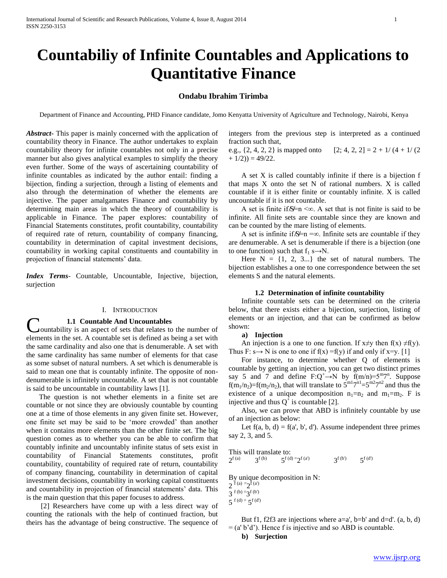# **Countabiliy of Infinite Countables and Applications to Quantitative Finance**

# **Ondabu Ibrahim Tirimba**

Department of Finance and Accounting, PHD Finance candidate, Jomo Kenyatta University of Agriculture and Technology, Nairobi, Kenya

*Abstract***-** This paper is mainly concerned with the application of countability theory in Finance. The author undertakes to explain countability theory for infinite countables not only in a precise manner but also gives analytical examples to simplify the theory even further. Some of the ways of ascertaining countability of infinite countables as indicated by the author entail: finding a bijection, finding a surjection, through a listing of elements and also through the determination of whether the elements are injective. The paper amalgamates Finance and countability by determining main areas in which the theory of countability is applicable in Finance. The paper explores: countability of Financial Statements constitutes, profit countability, countability of required rate of return, countability of company financing, countability in determination of capital investment decisions, countability in working capital constituents and countability in projection of financial statements' data.

*Index Terms*- Countable, Uncountable, Injective, bijection, surjection

# I. INTRODUCTION

#### **1.1 Countable And Uncountables**

ountability is an aspect of sets that relates to the number of elements in the set. A countable set is defined as being a set with the same cardinality and also one that is denumerable. A set with the same cardinality has same number of elements for that case as some subset of natural numbers. A set which is denumerable is said to mean one that is countably infinite. The opposite of nondenumerable is infinitely uncountable. A set that is not countable is said to be uncountable in countability laws [1]. C

 The question is not whether elements in a finite set are countable or not since they are obviously countable by counting one at a time of those elements in any given finite set. However, one finite set may be said to be 'more crowded' than another when it contains more elements than the other finite set. The big question comes as to whether you can be able to confirm that countably infinite and uncountably infinite status of sets exist in countability of Financial Statements constitutes, profit countability, countability of required rate of return, countability of company financing, countability in determination of capital investment decisions, countability in working capital constituents and countability in projection of financial statements' data. This is the main question that this paper focuses to address.

 [2] Researchers have come up with a less direct way of counting the rationals with the help of continued fraction, but theirs has the advantage of being constructive. The sequence of integers from the previous step is interpreted as a continued fraction such that,

e.g.,  $\{2, 4, 2, 2\}$  is mapped onto  $[2; 4, 2, 2] = 2 + 1/(4 + 1/(2))$  $+ 1/2$ ) = 49/22.

 A set X is called countably infinite if there is a bijection f that maps X onto the set N of rational numbers. X is called countable if it is either finite or countably infinite. X is called uncountable if it is not countable.

A set is finite if  $S=n \infty$ . A set that is not finite is said to be infinite. All finite sets are countable since they are known and can be counted by the mare listing of elements.

A set is infinite if  $S=n = \infty$ . Infinite sets are countable if they are denumerable. A set is denumerable if there is a bijection (one to one function) such that  $f_1 s \rightarrow N$ .

Here  $N = \{1, 2, 3...\}$  the set of natural numbers. The bijection establishes a one to one correspondence between the set elements S and the natural elements.

# **1.2 Determination of infinite countability**

 Infinite countable sets can be determined on the criteria below, that there exists either a bijection, surjection, listing of elements or an injection, and that can be confirmed as below shown:

#### **a) Injection**

An injection is a one to one function. If  $x \neq y$  then  $f(x) \neq f(y)$ . Thus F: s $\rightarrow$  N is one to one if f(x) = f(y) if and only if x=y. [1]

 For instance, to determine whether Q of elements is countable by getting an injection, you can get two distinct primes say 5 and 7 and define  $F:Q^+ \rightarrow N$  by  $f(m/n)=5^m 7^n$ . Suppose  $f(m_1/n_2)=f(m_2/n_2)$ , that will translate to  $5^{m_1}7^{n_1}=5^{m_2}7^{n_2}$  and thus the existence of a unique decomposition  $n_1=n_2$  and  $m_1=m_2$ . F is injective and thus  $Q^{\dagger}$  is countable [2].

 Also, we can prove that ABD is infinitely countable by use of an injection as below:

Let  $f(a, b, d) = f(a', b', d')$ . Assume independent three primes say 2, 3, and 5.

This will translate to:  $2^{f(a)}$  3 f (b)  $5^{\text{f (d)} = 2^{\text{f (a')}}$  3  $3^{f(b)}$  $\zeta$ f (d')

By unique decomposition in N:

 $2^{f(a)} = 2^{f(a)}$ 

 $3^{f (b) = -3^{f (b')}}$ 

 $5^{f(d)} = 5^{f(d')}$ 

But f1, f2f3 are injections where  $a=a'$ ,  $b=b'$  and  $d=d'$ .  $(a, b, d)$  $=$  (a' b'd'). Hence f is injective and so ABD is countable.

**b) Surjection**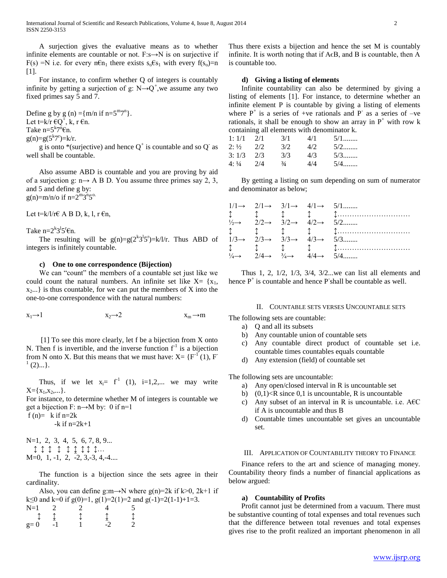A surjection gives the evaluative means as to whether infinite elements are countable or not.  $F: s \rightarrow N$  is on surjective if F(s) =N i.e. for every n $\epsilon n_1$  there exists  $s_0 \epsilon s_1$  with every  $f(s_0)=n$ [1].

 For instance, to confirm whether Q of integers is countably infinite by getting a surjection of g:  $N \rightarrow Q^+$ , we assume any two fixed primes say 5 and 7.

Define g by g (n) = { $m/n$  if  $n=5<sup>m</sup>7<sup>n</sup>$ }. Let t= $k/r \in Q^+$ , k, r  $\epsilon n$ . Take  $n=5^{k}7^{n}\text{En}$ .  $g(n)=g(5^{k}7^{r})=k/r.$ 

g is onto \*(surjective) and hence  $Q^+$  is countable and so  $Q^-$  as well shall be countable.

 Also assume ABD is countable and you are proving by aid of a surjection g:  $n \rightarrow A B D$ . You assume three primes say 2, 3, and 5 and define g by:  $g(n)=m/n$ /o if  $n=2^{m}3^{n}5^{o}$ .

Let t=k/l/r€ A B D, k, l, r  $\epsilon$ n,

Take  $n=2^{k}3^{l}5^{r}\in$ n.

The resulting will be  $g(n)=g(2^{k}3^{l}5^{r})=k/l/r$ . Thus ABD of integers is infinitely countable.

# **c) One to one correspondence (Bijection)**

We can "count" the members of a countable set just like we could count the natural numbers. An infinite set like  $X = \{x_1,$  $x_2...$  is thus countable, for we can put the members of X into the one-to-one correspondence with the natural numbers:

$$
x_1 \rightarrow 1 \qquad \qquad x_2 \rightarrow 2 \qquad \qquad x_m \rightarrow m
$$

 [1] To see this more clearly, let f be a bijection from X onto N. Then f is invertible, and the inverse function  $f<sup>-1</sup>$  is a bijection from N onto X. But this means that we must have:  $X = \{F^{-1}(1), F^{-1}(2)\}$ 1  $(2)$ ...}.

Thus, if we let  $x_i = f^1$  (1), i=1,2,... we may write  $X = \{x_1, x_2, \dots\}.$ 

For instance, to determine whether M of integers is countable we get a bijection F:  $n \rightarrow M$  by: 0 if  $n=1$ 

f (n)=  $k$  if n=2k

 $-k$  if  $n=2k+1$ 

N=1, 2, 3, 4, 5, 6, 7, 8, 9... ↕ ↕ ↕ ↕ ↕ ↨ ↕ ↕ ↕…  $M=0, 1, -1, 2, -2, 3, -3, 4, -4...$ 

 The function is a bijection since the sets agree in their cardinality.

Also, you can define g:m→N where g(n)=2k if k>0, 2k+1 if k $\leq$ 0 and k=0 if g(0)=1, g(1)=2(1)=2 and g(-1)=2(1-1)+1=3.  $N=1$  2 2 4 5 ↕ ↨ ↕ ↨ ↕  $g=0$   $-1$   $1$   $-2$   $2$ 

Thus there exists a bijection and hence the set M is countably infinite. It is worth noting that if  $A \in B$ , and B is countable, then A is countable too.

# **d) Giving a listing of elements**

 Infinite countability can also be determined by giving a listing of elements [1]. For instance, to determine whether an infinite element P is countable by giving a listing of elements where  $P^+$  is a series of +ve rationals and P as a series of -ve rationals, it shall be enough to show an array in  $P^+$  with row k containing all elements with denominator k.

| 1:1/1            | 2/1 | 3/1           | 4/1  | 5/1   |
|------------------|-----|---------------|------|-------|
| $2: \frac{1}{2}$ | 2/2 | 3/2           | 4/2. | $5/2$ |
| 3:1/3            | 2/3 | 3/3           | 4/3  | $5/3$ |
| 4:1/4            | 2/4 | $\frac{3}{4}$ | 4/4  | 5/4   |

 By getting a listing on sum depending on sum of numerator and denominator as below;

|  |  | $1/1 \rightarrow 2/1 \rightarrow 3/1 \rightarrow 4/1 \rightarrow 5/1$                                                                                                                                                                                                                                                                                                                                                                                                                      |
|--|--|--------------------------------------------------------------------------------------------------------------------------------------------------------------------------------------------------------------------------------------------------------------------------------------------------------------------------------------------------------------------------------------------------------------------------------------------------------------------------------------------|
|  |  | $\updownarrow$ $\updownarrow$ $\updownarrow$ $\updownarrow$ $\updownarrow$ $\updownarrow$ $\updownarrow$ $\updownarrow$ $\updownarrow$ $\updownarrow$ $\updownarrow$ $\updownarrow$ $\updownarrow$ $\updownarrow$ $\updownarrow$ $\updownarrow$ $\updownarrow$ $\updownarrow$ $\updownarrow$ $\updownarrow$ $\updownarrow$ $\updownarrow$ $\updownarrow$ $\updownarrow$ $\updownarrow$ $\updownarrow$ $\updownarrow$ $\updownarrow$ $\updownarrow$ $\updownarrow$ $\updownarrow$ $\updown$ |
|  |  | $\frac{1}{2} \rightarrow 2/2 \rightarrow 3/2 \rightarrow 4/2 \rightarrow 5/2$                                                                                                                                                                                                                                                                                                                                                                                                              |
|  |  | $\updownarrow$ $\updownarrow$ $\updownarrow$ $\updownarrow$ $\updownarrow$ $\updownarrow$ $\updownarrow$ $\updownarrow$ $\updownarrow$ $\updownarrow$ $\updownarrow$ $\updownarrow$ $\updownarrow$ $\updownarrow$ $\updownarrow$ $\updownarrow$ $\updownarrow$ $\updownarrow$ $\updownarrow$ $\updownarrow$ $\updownarrow$ $\updownarrow$ $\updownarrow$ $\updownarrow$ $\updownarrow$ $\updownarrow$ $\updownarrow$ $\updownarrow$ $\updownarrow$ $\updownarrow$ $\updownarrow$ $\updown$ |
|  |  | $1/3 \rightarrow 2/3 \rightarrow 3/3 \rightarrow 4/3 \rightarrow 5/3$                                                                                                                                                                                                                                                                                                                                                                                                                      |
|  |  | $\updownarrow$ $\updownarrow$ $\updownarrow$ $\updownarrow$ $\updownarrow$ $\updownarrow$ $\updownarrow$ $\updownarrow$ $\updownarrow$ $\updownarrow$ $\updownarrow$ $\updownarrow$ $\updownarrow$ $\updownarrow$ $\updownarrow$ $\updownarrow$ $\updownarrow$ $\updownarrow$ $\updownarrow$ $\updownarrow$ $\updownarrow$ $\updownarrow$ $\updownarrow$ $\updownarrow$ $\updownarrow$ $\updownarrow$ $\updownarrow$ $\updownarrow$ $\updownarrow$ $\updownarrow$ $\updownarrow$ $\updown$ |
|  |  | $\frac{1}{4} \rightarrow 2/4 \rightarrow \frac{3}{4} \rightarrow 4/4 \rightarrow 5/4$                                                                                                                                                                                                                                                                                                                                                                                                      |

 Thus 1, 2, 1/2, 1/3, 3/4, 3/2...we can list all elements and hence  $P^+$  is countable and hence  $P$  shall be countable as well.

#### II. COUNTABLE SETS VERSES UNCOUNTABLE SETS

The following sets are countable:

- a) Q and all its subsets
- b) Any countable union of countable sets
- c) Any countable direct product of countable set i.e. countable times countables equals countable
- d) Any extension (field) of countable set

The following sets are uncountable:

- a) Any open/closed interval in R is uncountable set
- b)  $(0,1)$  < R since 0,1 is uncountable, R is uncountable
- c) Any subset of an interval in R is uncountable. i.e.  $A \in \mathbb{C}$ if A is uncountable and thus B
- d) Countable times uncountable set gives an uncountable set.

# III. APPLICATION OF COUNTABILITY THEORY TO FINANCE

 Finance refers to the art and science of managing money. Countability theory finds a number of financial applications as below argued:

### **a) Countability of Profits**

 Profit cannot just be determined from a vacuum. There must be substantive counting of total expenses and total revenues such that the difference between total revenues and total expenses gives rise to the profit realized an important phenomenon in all